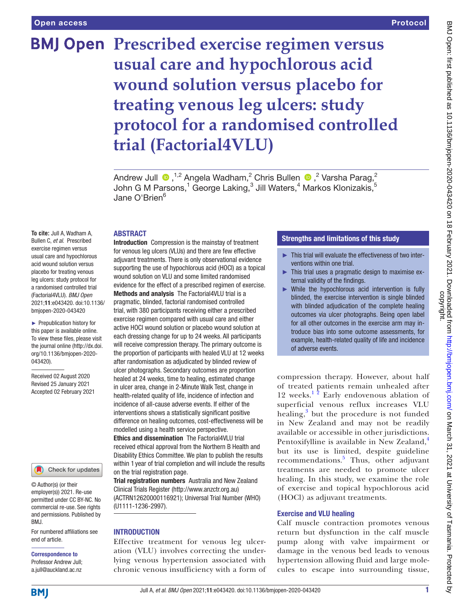# Protocol

# **BMJ Open Prescribed exercise regimen versus usual care and hypochlorous acid wound solution versus placebo for treating venous leg ulcers: study protocol for a randomised controlled trial (Factorial4VLU)**

AndrewJull  $\bigcirc$  ,<sup>1,2</sup> Angela Wadham,<sup>2</sup> Chris Bullen  $\bigcirc$  ,<sup>2</sup> Varsha Parag,<sup>2</sup> John G M Parsons, $^1$  George Laking, $^3$  Jill Waters, $^4$  Markos Klonizakis, $^5$ Jane O'Brien $^6$ 

#### ABSTRACT

**To cite:** Jull A, Wadham A, Bullen C, *et al*. Prescribed exercise regimen versus usual care and hypochlorous acid wound solution versus placebo for treating venous leg ulcers: study protocol for a randomised controlled trial (Factorial4VLU). *BMJ Open* 2021;11:e043420. doi:10.1136/ bmjopen-2020-043420

► Prepublication history for this paper is available online. To view these files, please visit the journal online (http://dx.doi. org/10.1136/bmjopen-2020- 043420).

Received 02 August 2020 Revised 25 January 2021 Accepted 02 February 2021



© Author(s) (or their employer(s)) 2021. Re-use permitted under CC BY-NC. No commercial re-use. See rights and permissions. Published by BMJ.

For numbered affiliations see end of article.

# Correspondence to

Professor Andrew Jull; a.jull@auckland.ac.nz

Introduction Compression is the mainstay of treatment for venous leg ulcers (VLUs) and there are few effective adjuvant treatments. There is only observational evidence supporting the use of hypochlorous acid (HOCl) as a topical wound solution on VLU and some limited randomised evidence for the effect of a prescribed regimen of exercise. Methods and analysis The Factorial4VLU trial is a pragmatic, blinded, factorial randomised controlled trial, with 380 participants receiving either a prescribed exercise regimen compared with usual care and either active HOCl wound solution or placebo wound solution at each dressing change for up to 24 weeks. All participants will receive compression therapy. The primary outcome is the proportion of participants with healed VLU at 12 weeks after randomisation as adjudicated by blinded review of ulcer photographs. Secondary outcomes are proportion healed at 24 weeks, time to healing, estimated change in ulcer area, change in 2-Minute Walk Test, change in health-related quality of life, incidence of infection and incidence of all-cause adverse events. If either of the interventions shows a statistically significant positive difference on healing outcomes, cost-effectiveness will be modelled using a health service perspective.

Ethics and dissemination The Factorial4VLU trial received ethical approval from the Northern B Health and Disability Ethics Committee. We plan to publish the results within 1 year of trial completion and will include the results on the trial registration page.

Trial registration numbers Australia and New Zealand Clinical Trials Register [\(http://www.anzctr.org.au\)](http://www.anzctr.org.au) (ACTRN12620000116921); Universal Trial Number (WHO) (U1111-1236-2997).

#### INTRODUCTION

Effective treatment for venous leg ulceration (VLU) involves correcting the underlying venous hypertension associated with chronic venous insufficiency with a form of

# Strengths and limitations of this study

- ► This trial will evaluate the effectiveness of two interventions within one trial.
- This trial uses a pragmatic design to maximise external validity of the findings.
- ► While the hypochlorous acid intervention is fully blinded, the exercise intervention is single blinded with blinded adjudication of the complete healing outcomes via ulcer photographs. Being open label for all other outcomes in the exercise arm may introduce bias into some outcome assessments, for example, health-related quality of life and incidence of adverse events.

compression therapy. However, about half of treated patients remain unhealed after 12 weeks.<sup>12</sup> Early endovenous ablation of superficial venous reflux increases VLU healing,<sup>[3](#page-8-1)</sup> but the procedure is not funded in New Zealand and may not be readily available or accessible in other jurisdictions. Pentoxifylline is available in New Zealand,<sup>[4](#page-8-2)</sup> but its use is limited, despite guideline recommendations.<sup>[5](#page-8-3)</sup> Thus, other adjuvant treatments are needed to promote ulcer healing. In this study, we examine the role of exercise and topical hypochlorous acid (HOCl) as adjuvant treatments.

#### Exercise and VLU healing

Calf muscle contraction promotes venous return but dysfunction in the calf muscle pump along with valve impairment or damage in the venous bed leads to venous hypertension allowing fluid and large molecules to escape into surrounding tissue,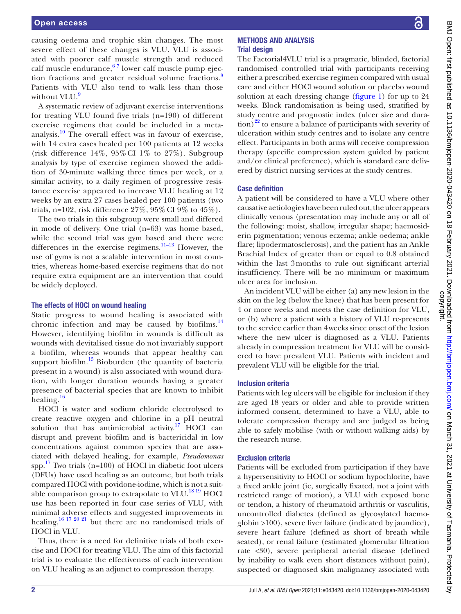causing oedema and trophic skin changes. The most severe effect of these changes is VLU. VLU is associated with poorer calf muscle strength and reduced calf muscle endurance,  $67$  lower calf muscle pump ejec-tion fractions and greater residual volume fractions.<sup>[8](#page-8-5)</sup> Patients with VLU also tend to walk less than those without VLU.<sup>[9](#page-8-6)</sup>

A systematic review of adjuvant exercise interventions for treating VLU found five trials (n=190) of different exercise regimens that could be included in a metaanalysis.[10](#page-8-7) The overall effect was in favour of exercise, with 14 extra cases healed per 100 patients at 12 weeks (risk difference  $14\%$ ,  $95\%$  CI  $1\%$  to  $27\%$ ). Subgroup analysis by type of exercise regimen showed the addition of 30-minute walking three times per week, or a similar activity, to a daily regimen of progressive resistance exercise appeared to increase VLU healing at 12 weeks by an extra 27 cases healed per 100 patients (two trials, n=102, risk difference 27%, 95% CI 9% to 45%).

The two trials in this subgroup were small and differed in mode of delivery. One trial (n=63) was home based, while the second trial was gym based and there were differences in the exercise regimens.<sup>11-13</sup> However, the use of gyms is not a scalable intervention in most countries, whereas home-based exercise regimens that do not require extra equipment are an intervention that could be widely deployed.

#### The effects of HOCl on wound healing

Static progress to wound healing is associated with chronic infection and may be caused by biofilms. $^{14}$  $^{14}$  $^{14}$ However, identifying biofilm in wounds is difficult as wounds with devitalised tissue do not invariably support a biofilm, whereas wounds that appear healthy can support biofilm. $^{15}$  $^{15}$  $^{15}$  Bioburden (the quantity of bacteria present in a wound) is also associated with wound duration, with longer duration wounds having a greater presence of bacterial species that are known to inhibit healing. $16$ 

HOCl is water and sodium chloride electrolysed to create reactive oxygen and chlorine in a pH neutral solution that has antimicrobial activity.<sup>17</sup> HOCl can disrupt and prevent biofilm and is bactericidal in low concentrations against common species that are associated with delayed healing, for example, *Pseudomonas* spp. $17$  Two trials (n=100) of HOCl in diabetic foot ulcers (DFUs) have used healing as an outcome, but both trials compared HOCl with povidone-iodine, which is not a suitable comparison group to extrapolate to VLU. $^{18}$  19 HOCl use has been reported in four case series of VLU, with minimal adverse effects and suggested improvements in healing,<sup>[16 17 20 21](#page-8-11)</sup> but there are no randomised trials of HOCl in VLU.

Thus, there is a need for definitive trials of both exercise and HOCl for treating VLU. The aim of this factorial trial is to evaluate the effectiveness of each intervention on VLU healing as an adjunct to compression therapy.

#### METHODS AND ANALYSIS Trial design

The Factorial4VLU trial is a pragmatic, blinded, factorial randomised controlled trial with participants receiving either a prescribed exercise regimen compared with usual care and either HOCl wound solution or placebo wound solution at each dressing change [\(figure](#page-2-0) 1) for up to 24 weeks. Block randomisation is being used, stratified by study centre and prognostic index (ulcer size and dura- $\frac{1}{2}$  to ensure a balance of participants with severity of ulceration within study centres and to isolate any centre effect. Participants in both arms will receive compression therapy (specific compression system guided by patient and/or clinical preference), which is standard care delivered by district nursing services at the study centres.

#### Case definition

A patient will be considered to have a VLU where other causative aetiologies have been ruled out, the ulcer appears clinically venous (presentation may include any or all of the following: moist, shallow, irregular shape; haemosiderin pigmentation; venous eczema; ankle oedema; ankle flare; lipodermatosclerosis), and the patient has an Ankle Brachial Index of greater than or equal to 0.8 obtained within the last 3months to rule out significant arterial insufficiency. There will be no minimum or maximum ulcer area for inclusion.

An incident VLU will be either (a) any new lesion in the skin on the leg (below the knee) that has been present for 4 or more weeks and meets the case definition for VLU, or (b) where a patient with a history of VLU re-presents to the service earlier than 4weeks since onset of the lesion where the new ulcer is diagnosed as a VLU. Patients already in compression treatment for VLU will be considered to have prevalent VLU. Patients with incident and prevalent VLU will be eligible for the trial.

#### Inclusion criteria

Patients with leg ulcers will be eligible for inclusion if they are aged 18 years or older and able to provide written informed consent, determined to have a VLU, able to tolerate compression therapy and are judged as being able to safely mobilise (with or without walking aids) by the research nurse.

#### Exclusion criteria

Patients will be excluded from participation if they have a hypersensitivity to HOCl or sodium hypochlorite, have a fixed ankle joint (ie, surgically fixated, not a joint with restricted range of motion), a VLU with exposed bone or tendon, a history of rheumatoid arthritis or vasculitis, uncontrolled diabetes (defined as glycosylated haemoglobin >100), severe liver failure (indicated by jaundice), severe heart failure (defined as short of breath while seated), or renal failure (estimated glomerular filtration rate <30), severe peripheral arterial disease (defined by inability to walk even short distances without pain), suspected or diagnosed skin malignancy associated with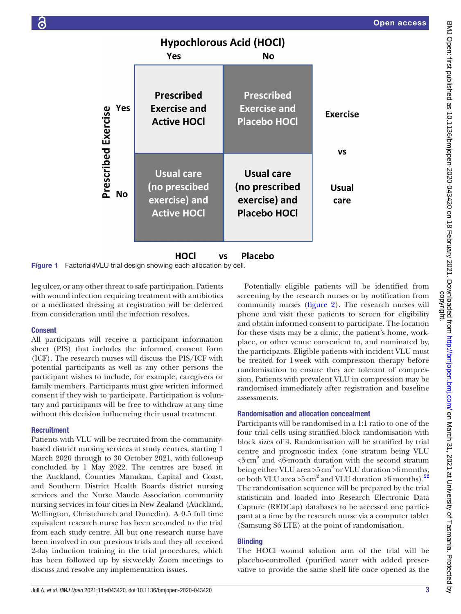# **Hypochlorous Acid (HOCl)**

|                            | Yes                                                                       | <b>No</b>                                                            |                       |
|----------------------------|---------------------------------------------------------------------------|----------------------------------------------------------------------|-----------------------|
| Yes<br>Prescribed Exercise | <b>Prescribed</b><br><b>Exercise and</b><br><b>Active HOCI</b>            | <b>Prescribed</b><br><b>Exercise and</b><br><b>Placebo HOCI</b>      | <b>Exercise</b><br>VS |
| <b>No</b>                  | <b>Usual care</b><br>(no prescibed<br>exercise) and<br><b>Active HOCI</b> | Usual care<br>(no prescribed<br>exercise) and<br><b>Placebo HOCI</b> | <b>Usual</b><br>care  |

**HOCI Placebo VS** Figure 1 Factorial4VLU trial design showing each allocation by cell.

leg ulcer, or any other threat to safe participation. Patients with wound infection requiring treatment with antibiotics or a medicated dressing at registration will be deferred from consideration until the infection resolves.

#### Consent

All participants will receive a participant information sheet (PIS) that includes the informed consent form (ICF). The research nurses will discuss the PIS/ICF with potential participants as well as any other persons the participant wishes to include, for example, caregivers or family members. Participants must give written informed consent if they wish to participate. Participation is voluntary and participants will be free to withdraw at any time without this decision influencing their usual treatment.

#### **Recruitment**

Patients with VLU will be recruited from the communitybased district nursing services at study centres, starting 1 March 2020 through to 30 October 2021, with follow-up concluded by 1 May 2022. The centres are based in the Auckland, Counties Manukau, Capital and Coast, and Southern District Health Boards district nursing services and the Nurse Maude Association community nursing services in four cities in New Zealand (Auckland, Wellington, Christchurch and Dunedin). A 0.5 full time equivalent research nurse has been seconded to the trial from each study centre. All but one research nurse have been involved in our previous trials and they all received 2-day induction training in the trial procedures, which has been followed up by sixweekly Zoom meetings to discuss and resolve any implementation issues.

<span id="page-2-0"></span>Potentially eligible patients will be identified from screening by the research nurses or by notification from community nurses [\(figure](#page-3-0) 2). The research nurses will phone and visit these patients to screen for eligibility and obtain informed consent to participate. The location for these visits may be a clinic, the patient's home, workplace, or other venue convenient to, and nominated by, the participants. Eligible patients with incident VLU must be treated for 1week with compression therapy before randomisation to ensure they are tolerant of compression. Patients with prevalent VLU in compression may be randomised immediately after registration and baseline assessments.

#### Randomisation and allocation concealment

Participants will be randomised in a 1:1 ratio to one of the four trial cells using stratified block randomisation with block sizes of 4. Randomisation will be stratified by trial centre and prognostic index (one stratum being VLU  $\textless 5\,\text{cm}^2$  and  $\textless 6$ -month duration with the second stratum being either VLU area >5 cm<sup>2</sup> or VLU duration >6 months, or both VLU area >5 cm<sup>2</sup> and VLU duration >6 months).<sup>[22](#page-9-2)</sup> The randomisation sequence will be prepared by the trial statistician and loaded into Research Electronic Data Capture (REDCap) databases to be accessed one participant at a time by the research nurse via a computer tablet (Samsung S6 LTE) at the point of randomisation.

# **Blinding**

The HOCl wound solution arm of the trial will be placebo-controlled (purified water with added preservative to provide the same shelf life once opened as the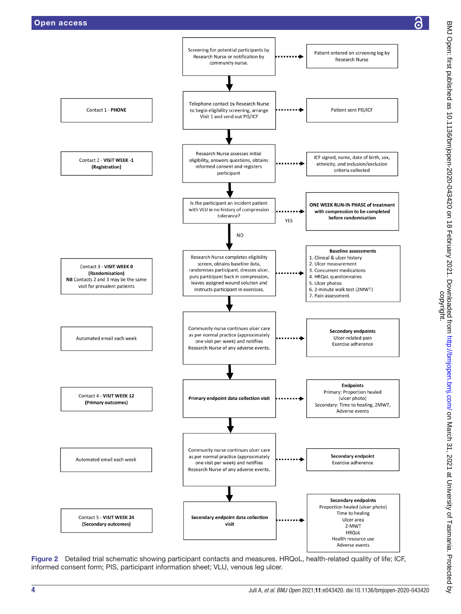

<span id="page-3-0"></span>Figure 2 Detailed trial schematic showing participant contacts and measures. HRQoL, health-related quality of life; ICF, informed consent form; PIS, participant information sheet; VLU, venous leg ulcer.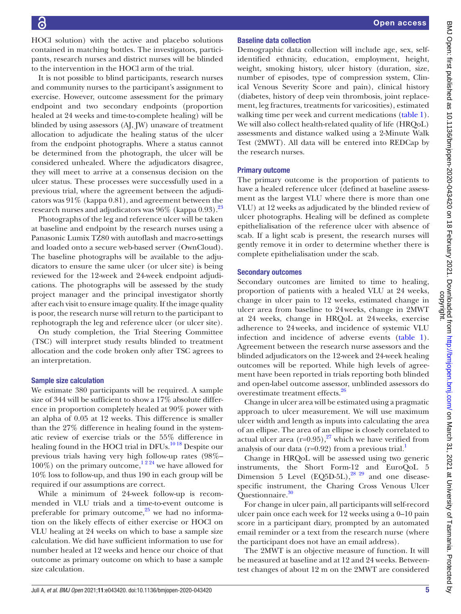HOCl solution) with the active and placebo solutions contained in matching bottles. The investigators, participants, research nurses and district nurses will be blinded to the intervention in the HOCl arm of the trial.

It is not possible to blind participants, research nurses and community nurses to the participant's assignment to exercise. However, outcome assessment for the primary endpoint and two secondary endpoints (proportion healed at 24 weeks and time-to-complete healing) will be blinded by using assessors (AJ, JW) unaware of treatment allocation to adjudicate the healing status of the ulcer from the endpoint photographs. Where a status cannot be determined from the photograph, the ulcer will be considered unhealed. Where the adjudicators disagree, they will meet to arrive at a consensus decision on the ulcer status. These processes were successfully used in a previous trial, where the agreement between the adjudicators was 91% (kappa 0.81), and agreement between the research nurses and adjudicators was 96% (kappa 0.93).<sup>23</sup>

Photographs of the leg and reference ulcer will be taken at baseline and endpoint by the research nurses using a Panasonic Lumix TZ80 with autoflash and macro-settings and loaded onto a secure web-based server (OwnCloud). The baseline photographs will be available to the adjudicators to ensure the same ulcer (or ulcer site) is being reviewed for the 12-week and 24-week endpoint adjudications. The photographs will be assessed by the study project manager and the principal investigator shortly after each visit to ensure image quality. If the image quality is poor, the research nurse will return to the participant to rephotograph the leg and reference ulcer (or ulcer site).

On study completion, the Trial Steering Committee (TSC) will interpret study results blinded to treatment allocation and the code broken only after TSC agrees to an interpretation.

#### Sample size calculation

We estimate 380 participants will be required. A sample size of 344 will be sufficient to show a 17% absolute difference in proportion completely healed at 90% power with an alpha of 0.05 at 12 weeks. This difference is smaller than the 27% difference in healing found in the systematic review of exercise trials or the 55% difference in healing found in the HOCl trial in DFUs.<sup>[10 18](#page-8-7)</sup> Despite our previous trials having very high follow-up rates (98%– 100%) on the primary outcome,<sup>1224</sup> we have allowed for 10% loss to follow-up, and thus 190 in each group will be required if our assumptions are correct.

While a minimum of 24-week follow-up is recommended in VLU trials and a time-to-event outcome is preferable for primary outcome, $25$  we had no information on the likely effects of either exercise or HOCl on VLU healing at 24 weeks on which to base a sample size calculation. We did have sufficient information to use for number healed at 12 weeks and hence our choice of that outcome as primary outcome on which to base a sample size calculation.

### Baseline data collection

Demographic data collection will include age, sex, selfidentified ethnicity, education, employment, height, weight, smoking history, ulcer history (duration, size, number of episodes, type of compression system, Clinical Venous Severity Score and pain), clinical history (diabetes, history of deep vein thrombosis, joint replacement, leg fractures, treatments for varicosities), estimated walking time per week and current medications ([table](#page-5-0) 1). We will also collect health-related quality of life (HRQoL) assessments and distance walked using a 2-Minute Walk Test (2MWT). All data will be entered into REDCap by the research nurses.

#### Primary outcome

The primary outcome is the proportion of patients to have a healed reference ulcer (defined at baseline assessment as the largest VLU where there is more than one VLU) at 12 weeks as adjudicated by the blinded review of ulcer photographs. Healing will be defined as complete epithelialisation of the reference ulcer with absence of scab. If a light scab is present, the research nurses will gently remove it in order to determine whether there is complete epithelialisation under the scab.

#### Secondary outcomes

Secondary outcomes are limited to time to healing, proportion of patients with a healed VLU at 24 weeks, change in ulcer pain to 12 weeks, estimated change in ulcer area from baseline to 24weeks, change in 2MWT at 24 weeks, change in HRQoL at 24weeks, exercise adherence to 24weeks, and incidence of systemic VLU infection and incidence of adverse events ([table](#page-5-0) 1). Agreement between the research nurse assessors and the blinded adjudicators on the 12-week and 24-week healing outcomes will be reported. While high levels of agreement have been reported in trials reporting both blinded and open-label outcome assessor, unblinded assessors do overestimate treatment effects.[26](#page-9-5)

Change in ulcer area will be estimated using a pragmatic approach to ulcer measurement. We will use maximum ulcer width and length as inputs into calculating the area of an ellipse. The area of an ellipse is closely correlated to actual ulcer area  $(r=0.95)$ ,<sup>27</sup> which we have verified from analysis of our data ( $r=0.92$ ) from a previous trial.<sup>1</sup>

Change in HRQoL will be assessed using two generic instruments, the Short Form-12 and EuroQoL 5 Dimension 5 Level (EQ5D-5L), $^{28}$   $^{29}$  and one diseasespecific instrument, the Charing Cross Venous Ulcer Ouestionnaire.<sup>30</sup>

For change in ulcer pain, all participants will self-record ulcer pain once each week for 12 weeks using a 0–10 pain score in a participant diary, prompted by an automated email reminder or a text from the research nurse (where the participant does not have an email address).

The 2MWT is an objective measure of function. It will be measured at baseline and at 12 and 24 weeks. Betweentest changes of about 12 m on the 2MWT are considered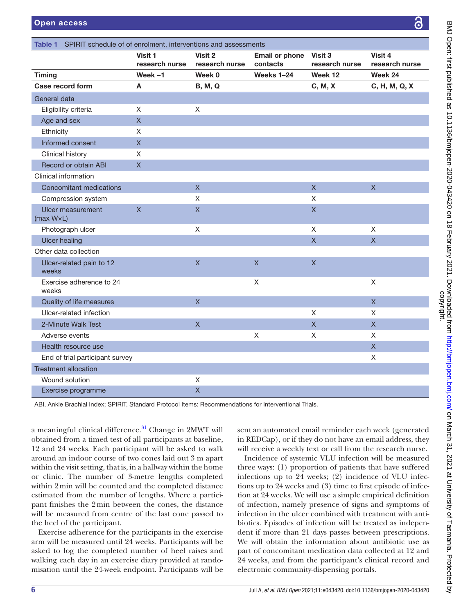<span id="page-5-0"></span>

| <b>Table 1</b> SPIRIT schedule of of enrolment, interventions and assessments |                           |                           |                                   |                           |                           |  |  |
|-------------------------------------------------------------------------------|---------------------------|---------------------------|-----------------------------------|---------------------------|---------------------------|--|--|
|                                                                               | Visit 1<br>research nurse | Visit 2<br>research nurse | <b>Email or phone</b><br>contacts | Visit 3<br>research nurse | Visit 4<br>research nurse |  |  |
| <b>Timing</b>                                                                 | Week $-1$                 | Week 0                    | Weeks 1-24                        | Week 12                   | Week 24                   |  |  |
| <b>Case record form</b>                                                       | Α                         | <b>B, M, Q</b>            |                                   | C, M, X                   | C, H, M, Q, X             |  |  |
| General data                                                                  |                           |                           |                                   |                           |                           |  |  |
| Eligibility criteria                                                          | X.                        | X                         |                                   |                           |                           |  |  |
| Age and sex                                                                   | $\mathsf{X}% _{0}$        |                           |                                   |                           |                           |  |  |
| Ethnicity                                                                     | X                         |                           |                                   |                           |                           |  |  |
| Informed consent                                                              | X                         |                           |                                   |                           |                           |  |  |
| Clinical history                                                              | X                         |                           |                                   |                           |                           |  |  |
| Record or obtain ABI                                                          | $\mathsf X$               |                           |                                   |                           |                           |  |  |
| Clinical information                                                          |                           |                           |                                   |                           |                           |  |  |
| <b>Concomitant medications</b>                                                |                           | $\overline{X}$            |                                   | $\overline{X}$            | $\overline{X}$            |  |  |
| Compression system                                                            |                           | $\mathsf{X}$              |                                   | $\mathsf X$               |                           |  |  |
| Ulcer measurement<br>$(max W\times L)$                                        | $\mathsf{X}$              | $\mathsf{X}$              |                                   | $\mathsf{X}$              |                           |  |  |
| Photograph ulcer                                                              |                           | X                         |                                   | X                         | X                         |  |  |
| <b>Ulcer healing</b>                                                          |                           |                           |                                   | $\overline{\mathsf{X}}$   | $\mathsf X$               |  |  |
| Other data collection                                                         |                           |                           |                                   |                           |                           |  |  |
| Ulcer-related pain to 12<br>weeks                                             |                           | $\mathsf X$               | $\overline{\mathsf{X}}$           | $\overline{\mathsf{X}}$   |                           |  |  |
| Exercise adherence to 24<br>weeks                                             |                           |                           | X                                 |                           | $\mathsf{X}$              |  |  |
| Quality of life measures                                                      |                           | $\overline{X}$            |                                   |                           | $\overline{\mathsf{X}}$   |  |  |
| Ulcer-related infection                                                       |                           |                           |                                   | $\mathsf{X}$              | X                         |  |  |
| 2-Minute Walk Test                                                            |                           | $\mathsf{X}$              |                                   | $\mathsf{X}$              | $\mathsf{X}$              |  |  |
| Adverse events                                                                |                           |                           | X                                 | X                         | X                         |  |  |
| Health resource use                                                           |                           |                           |                                   |                           | $\mathsf{X}$              |  |  |
| End of trial participant survey                                               |                           |                           |                                   |                           | $\mathsf X$               |  |  |
| <b>Treatment allocation</b>                                                   |                           |                           |                                   |                           |                           |  |  |
| Wound solution                                                                |                           | X                         |                                   |                           |                           |  |  |
| Exercise programme                                                            |                           | $\mathsf{X}$              |                                   |                           |                           |  |  |

ABI, Ankle Brachial Index; SPIRIT, Standard Protocol Items: Recommendations for Interventional Trials.

a meaningful clinical difference.<sup>31</sup> Change in 2MWT will obtained from a timed test of all participants at baseline, 12 and 24 weeks. Each participant will be asked to walk around an indoor course of two cones laid out 3 m apart within the visit setting, that is, in a hallway within the home or clinic. The number of 3-metre lengths completed within 2min will be counted and the completed distance estimated from the number of lengths. Where a participant finishes the 2min between the cones, the distance will be measured from centre of the last cone passed to the heel of the participant.

Exercise adherence for the participants in the exercise arm will be measured until 24 weeks. Participants will be asked to log the completed number of heel raises and walking each day in an exercise diary provided at randomisation until the 24-week endpoint. Participants will be

sent an automated email reminder each week (generated in REDCap), or if they do not have an email address, they will receive a weekly text or call from the research nurse.

Incidence of systemic VLU infection will be measured three ways: (1) proportion of patients that have suffered infections up to 24 weeks; (2) incidence of VLU infections up to 24 weeks and (3) time to first episode of infection at 24 weeks. We will use a simple empirical definition of infection, namely presence of signs and symptoms of infection in the ulcer combined with treatment with antibiotics. Episodes of infection will be treated as independent if more than 21 days passes between prescriptions. We will obtain the information about antibiotic use as part of concomitant medication data collected at 12 and 24 weeks, and from the participant's clinical record and electronic community-dispensing portals.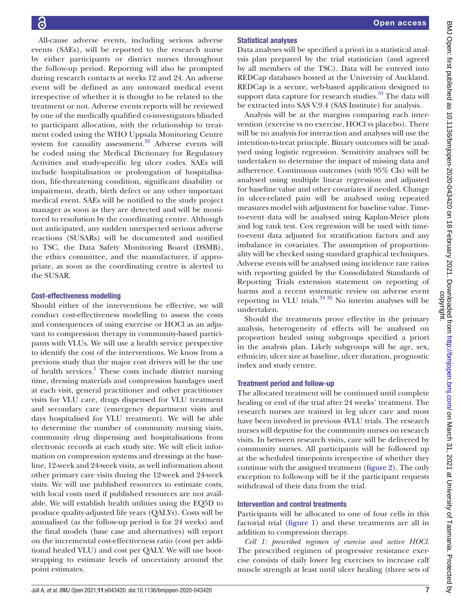All-cause adverse events, including serious adverse events (SAEs), will be reported to the research nurse by either participants or district nurses throughout the follow-up period. Reporting will also be prompted during research contacts at weeks 12 and 24. An adverse event will be defined as any untoward medical event irrespective of whether it is thought to be related to the treatment or not. Adverse events reports will be reviewed by one of the medically qualified co-investigators blinded to participant allocation, with the relationship to treatment coded using the WHO Uppsala Monitoring Centre system for causality assessment.<sup>32</sup> Adverse events will be coded using the Medical Dictionary for Regulatory Activities and study-specific leg ulcer codes. SAEs will include hospitalisation or prolongation of hospitalisation, life-threatening condition, significant disability or impairment, death, birth defect or any other important medical event. SAEs will be notified to the study project manager as soon as they are detected and will be monitored to resolution by the coordinating centre. Although not anticipated, any sudden unexpected serious adverse reactions (SUSARs) will be documented and notified to TSC, the Data Safety Monitoring Board (DSMB), the ethics committee, and the manufacturer, if appropriate, as soon as the coordinating centre is alerted to the SUSAR.

# Cost-effectiveness modelling

Should either of the interventions be effective, we will conduct cost-effectiveness modelling to assess the costs and consequences of using exercise or HOCl as an adjuvant to compression therapy in community-based participants with VLUs. We will use a health service perspective to identify the cost of the interventions. We know from a previous study that the major cost drivers will be the use of health services.<sup>[1](#page-8-0)</sup> These costs include district nursing time, dressing materials and compression bandages used at each visit, general practitioner and other practitioner visits for VLU care, drugs dispensed for VLU treatment and secondary care (emergency department visits and days hospitalised for VLU treatment). We will be able to determine the number of community nursing visits, community drug dispensing and hospitalisations from electronic records at each study site. We will elicit information on compression systems and dressings at the baseline, 12-week and 24-week visits, as well information about other primary care visits during the 12-week and 24-week visits. We will use published resources to estimate costs, with local costs used if published resources are not available. We will establish health utilities using the EQ5D to produce quality-adjusted life years (QALYs). Costs will be annualised (as the follow-up period is for 24 weeks) and the final models (base case and alternatives) will report on the incremental cost-effectiveness ratio (cost per additional healed VLU) and cost per QALY. We will use bootstrapping to estimate levels of uncertainty around the point estimates.

# Statistical analyses

Data analyses will be specified a priori in a statistical analysis plan prepared by the trial statistician (and agreed by all members of the TSC). Data will be entered into REDCap databases hosted at the University of Auckland. REDCap is a secure, web-based application designed to support data capture for research studies.<sup>[33](#page-9-11)</sup> The data will be extracted into SAS V.9.4 (SAS Institute) for analysis.

Analysis will be at the margins comparing each intervention (exercise vs no exercise, HOCl vs placebo). There will be no analysis for interaction and analyses will use the intention-to-treat principle. Binary outcomes will be analysed using logistic regression. Sensitivity analyses will be undertaken to determine the impact of missing data and adherence. Continuous outcomes (with 95% CIs) will be analysed using multiple linear regression and adjusted for baseline value and other covariates if needed. Change in ulcer-related pain will be analysed using repeated measures model with adjustment for baseline value. Timeto-event data will be analysed using Kaplan-Meier plots and log rank test. Cox regression will be used with timeto-event data adjusted for stratification factors and any imbalance in covariates. The assumption of proportionality will be checked using standard graphical techniques. Adverse events will be analysed using incidence rate ratios with reporting guided by the Consolidated Standards of Reporting Trials extension statement on reporting of harms and a recent systematic review on adverse event reporting in VLU trials. $3435$  No interim analyses will be undertaken.

Should the treatments prove effective in the primary analysis, heterogeneity of effects will be analysed on proportion healed using subgroups specified a priori in the analysis plan. Likely subgroups will be age, sex, ethnicity, ulcer size at baseline, ulcer duration, prognostic index and study centre.

# Treatment period and follow-up

The allocated treatment will be continued until complete healing or end of the trial after 24 weeks' treatment. The research nurses are trained in leg ulcer care and most have been involved in previous 4VLU trials. The research nurses will deputise for the community nurses on research visits. In between research visits, care will be delivered by community nurses. All participants will be followed up at the scheduled timepoints irrespective of whether they continue with the assigned treatment ([figure](#page-3-0) 2). The only exception to follow-up will be if the participant requests withdrawal of their data from the trial.

# Intervention and control treatments

Participants will be allocated to one of four cells in this factorial trial ([figure](#page-2-0) 1) and these treatments are all in addition to compression therapy.

*Cell 1: prescribed regimen of exercise and active HOCl*. The prescribed regimen of progressive resistance exercise consists of daily lower leg exercises to increase calf muscle strength at least until ulcer healing (three sets of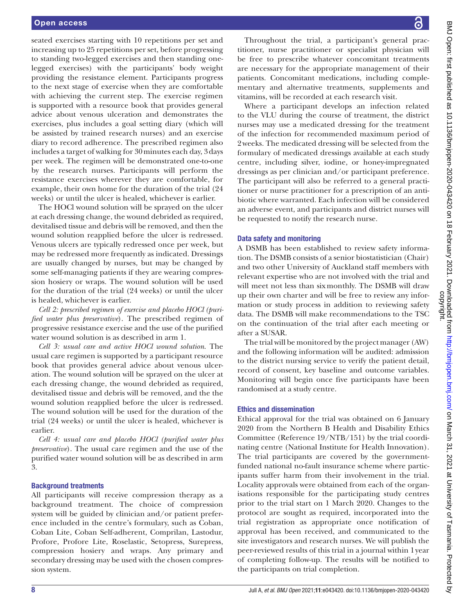seated exercises starting with 10 repetitions per set and increasing up to 25 repetitions per set, before progressing to standing two-legged exercises and then standing onelegged exercises) with the participants' body weight providing the resistance element. Participants progress to the next stage of exercise when they are comfortable with achieving the current step. The exercise regimen is supported with a resource book that provides general advice about venous ulceration and demonstrates the exercises, plus includes a goal setting diary (which will be assisted by trained research nurses) and an exercise diary to record adherence. The prescribed regimen also includes a target of walking for 30minutes each day, 3days per week. The regimen will be demonstrated one-to-one by the research nurses. Participants will perform the resistance exercises wherever they are comfortable, for example, their own home for the duration of the trial (24 weeks) or until the ulcer is healed, whichever is earlier.

The HOCl wound solution will be sprayed on the ulcer at each dressing change, the wound debrided as required, devitalised tissue and debris will be removed, and then the wound solution reapplied before the ulcer is redressed. Venous ulcers are typically redressed once per week, but may be redressed more frequently as indicated. Dressings are usually changed by nurses, but may be changed by some self-managing patients if they are wearing compression hosiery or wraps. The wound solution will be used for the duration of the trial (24 weeks) or until the ulcer is healed, whichever is earlier.

*Cell 2: prescribed regimen of exercise and placebo HOCl (purified water plus preservative*). The prescribed regimen of progressive resistance exercise and the use of the purified water wound solution is as described in arm 1.

*Cell 3: usual care and active HOCl wound solution*. The usual care regimen is supported by a participant resource book that provides general advice about venous ulceration. The wound solution will be sprayed on the ulcer at each dressing change, the wound debrided as required, devitalised tissue and debris will be removed, and the the wound solution reapplied before the ulcer is redressed. The wound solution will be used for the duration of the trial (24 weeks) or until the ulcer is healed, whichever is earlier.

*Cell 4: usual care and placebo HOCl (purified water plus preservative*). The usual care regimen and the use of the purified water wound solution will be as described in arm 3.

#### Background treatments

All participants will receive compression therapy as a background treatment. The choice of compression system will be guided by clinician and/or patient preference included in the centre's formulary, such as Coban, Coban Lite, Coban Self-adherent, Comprilan, Lastodur, Profore, Profore Lite, Roselastic, Setopress, Surepress, compression hosiery and wraps. Any primary and secondary dressing may be used with the chosen compression system.

BMJ Open: first published as 10.1136/bmjopen-2020-043420 on 18 February 2021. Downloaded from http://bmjopen.bmj.com/ on March 31, 2021 at University of Tasmania. Protected by<br>copyright. BMJ Open: first published as 10.1136/bmjopen-2020-043420 on 18 February 2021. Downloaded from bublishen.bmj.com/ an March 31, 2021 at University of Tasmania. Protected by

Throughout the trial, a participant's general practitioner, nurse practitioner or specialist physician will be free to prescribe whatever concomitant treatments are necessary for the appropriate management of their patients. Concomitant medications, including complementary and alternative treatments, supplements and vitamins, will be recorded at each research visit.

Where a participant develops an infection related to the VLU during the course of treatment, the district nurses may use a medicated dressing for the treatment of the infection for recommended maximum period of 2weeks. The medicated dressing will be selected from the formulary of medicated dressings available at each study centre, including silver, iodine, or honey-impregnated dressings as per clinician and/or participant preference. The participant will also be referred to a general practitioner or nurse practitioner for a prescription of an antibiotic where warranted. Each infection will be considered an adverse event, and participants and district nurses will be requested to notify the research nurse.

#### Data safety and monitoring

A DSMB has been established to review safety information. The DSMB consists of a senior biostatistician (Chair) and two other University of Auckland staff members with relevant expertise who are not involved with the trial and will meet not less than sixmonthly. The DSMB will draw up their own charter and will be free to review any information or study process in addition to reviewing safety data. The DSMB will make recommendations to the TSC on the continuation of the trial after each meeting or after a SUSAR.

The trial will be monitored by the project manager (AW) and the following information will be audited: admission to the district nursing service to verify the patient detail, record of consent, key baseline and outcome variables. Monitoring will begin once five participants have been randomised at a study centre.

#### Ethics and dissemination

Ethical approval for the trial was obtained on 6 January 2020 from the Northern B Health and Disability Ethics Committee (Reference 19/NTB/151) by the trial coordinating centre (National Institute for Health Innovation). The trial participants are covered by the governmentfunded national no-fault insurance scheme where participants suffer harm from their involvement in the trial. Locality approvals were obtained from each of the organisations responsible for the participating study centres prior to the trial start on 1 March 2020. Changes to the protocol are sought as required, incorporated into the trial registration as appropriate once notification of approval has been received, and communicated to the site investigators and research nurses. We will publish the peer-reviewed results of this trial in a journal within 1year of completing follow-up. The results will be notified to the participants on trial completion.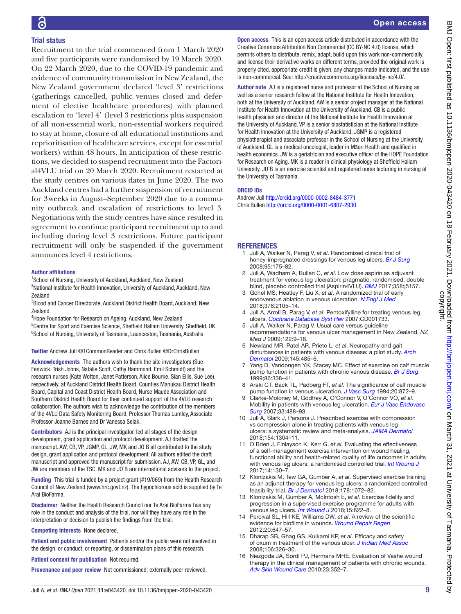# Trial status

Recruitment to the trial commenced from 1 March 2020 and five participants were randomised by 19 March 2020. On 22 March 2020, due to the COVID-19 pandemic and evidence of community transmission in New Zealand, the New Zealand government declared 'level 3' restrictions (gatherings cancelled, public venues closed and deferment of elective healthcare procedures) with planned escalation to 'level 4' (level 3 restrictions plus suspension of all non-essential work, non-essential workers required to stay at home, closure of all educational institutions and reprioritisation of healthcare services, except for essential workers) within 48 hours. In anticipation of these restrictions, we decided to suspend recruitment into the Factorial4VLU trial on 20 March 2020. Recruitment restarted at the study centres on various dates in June 2020. The two Auckland centres had a further suspension of recruitment for 3weeks in August–September 2020 due to a community outbreak and escalation of restrictions to level 3. Negotiations with the study centres have since resulted in agreement to continue participant recruitment up to and including during level 3 restrictions. Future participant recruitment will only be suspended if the government announces level 4 restrictions.

#### Author affiliations

<sup>1</sup>School of Nursing, University of Auckland, Auckland, New Zealand <sup>2</sup>National Institute for Health Innovation, University of Auckland, Auckland, New Zealand

3 Blood and Cancer Directorate, Auckland District Health Board, Auckland, New Zealand

4 Hope Foundation for Research on Ageing, Auckland, New Zealand <sup>5</sup>Centre for Sport and Exercise Science, Sheffield Hallam University, Sheffield, UK <sup>6</sup>School of Nursing, University of Tasmania, Launceston, Tasmania, Australia

#### Twitter Andrew Jull [@1CommonReader](https://twitter.com/1CommonReader) and Chris Bullen [@DrChrisBullen](https://twitter.com/DrChrisBullen)

Acknowledgements The authors wish to thank the site investigators (Sue Fenwick, Trish Johns, Natalie Scott, Cathy Hammond, Emil Schmidt) and the research nurses (Kate Wotton, Janet Patterson, Alice Bourke, Sian Ellis, Sue Lee), respectively, at Auckland District Health Board, Counties Manukau District Health Board, Capital and Coast District Health Board, Nurse Maude Association and Southern District Health Board for their continued support of the 4VLU research collaboration. The authors wish to acknowledge the contribution of the members of the 4VLU Data Safety Monitoring Board, Professor Thomas Lumley, Associate Professor Joanne Barnes and Dr Vanessa Selak.

Contributors AJ is the principal investigator, led all stages of the design development, grant application and protocol development. AJ drafted the manuscript. AW, CB, VP, JGMP, GL, JW, MK and JO'B all contributed to the study design, grant application and protocol development. All authors edited the draft manuscript and approved the manuscript for submission. AJ, AW, CB, VP, GL, and JW are members of the TSC. MK and JO'B are international advisors to the project.

Funding This trial is funded by a project grant (#19/069) from the Health Research Council of New Zealand (www.hrc.govt.nz). The hypochlorous acid is supplied by Te Arai BioFarma.

Disclaimer Neither the Health Research Council nor Te Arai BioFarma has any role in the conduct and analysis of the trial, nor will they have any role in the interpretation or decision to publish the findings from the trial.

Competing interests None declared.

Patient and public involvement Patients and/or the public were not involved in the design, or conduct, or reporting, or dissemination plans of this research.

Patient consent for publication Not required.

Provenance and peer review Not commissioned; externally peer reviewed.

Author note AJ is a registered nurse and professor at the School of Nursing as well as a senior research fellow at the National Institute for Health Innovation, both at the University of Auckland. AW is a senior project manager at the National Institute for Health Innovation at the University of Auckland. CB is a public health physician and director of the National Institute for Health Innovation at the University of Auckland. VP is a senior biostatistician at the National Institute for Health Innovation at the University of Auckland. JGMP is a registered physiotherapist and associate professor in the School of Nursing at the University of Auckland. GL is a medical oncologist, leader in Māori Health and qualified in health economics. JW is a geriatrician and executive officer of the HOPE Foundation for Research on Aging. MK is a reader in clinical physiology at Sheffield Hallam University. JO'B is an exercise scientist and registered nurse lecturing in nursing at the University of Tasmania.

#### ORCID iDs

Andrew Jull <http://orcid.org/0000-0002-8484-3771> Chris Bullen<http://orcid.org/0000-0001-6807-2930>

#### **REFERENCES**

- <span id="page-8-0"></span>1 Jull A, Walker N, Parag V, *et al*. Randomized clinical trial of honey-impregnated dressings for venous leg ulcers. *[Br J Surg](http://dx.doi.org/10.1002/bjs.6059)* 2008;95:175–82.
- 2 Jull A, Wadham A, Bullen C, *et al*. Low dose aspirin as adjuvant treatment for venous leg ulceration: pragmatic, randomised, double blind, placebo controlled trial (Aspirin4VLU). *[BMJ](http://dx.doi.org/10.1136/bmj.j5157)* 2017;358:j5157.
- <span id="page-8-1"></span>3 Gohel MS, Heatley F, Liu X, *et al*. A randomized trial of early endovenous ablation in venous ulceration. *[N Engl J Med](http://dx.doi.org/10.1056/NEJMoa1801214)* 2018;378:2105–14.
- <span id="page-8-2"></span>4 Jull A, Arroll B, Parag V, *et al*. Pentoxifylline for treating venous leg ulcers. *[Cochrane Database Syst Rev](http://dx.doi.org/10.1002/14651858.CD001733.pub2)* 2007:CD001733.
- <span id="page-8-3"></span>5 Jull A, Walker N, Parag V. Usual care versus guideline recommendations for venous ulcer management in New Zealand. *NZ Med J* 2009;122:9–18.
- <span id="page-8-4"></span>6 Newland MR, Patel AR, Prieto L, *et al*. Neuropathy and gait disturbances in patients with venous disease: a pilot study. *[Arch](http://dx.doi.org/10.1001/archdermatol.2009.14)  [Dermatol](http://dx.doi.org/10.1001/archdermatol.2009.14)* 2009;145:485–6.
- 7 Yang D, Vandongen YK, Stacey MC. Effect of exercise on calf muscle pump function in patients with chronic venous disease. *[Br J Surg](http://dx.doi.org/10.1046/j.1365-2168.1999.00993.x)* 1999;86:338–41.
- <span id="page-8-5"></span>8 Araki CT, Back TL, Padberg FT, *et al*. The significance of calf muscle pump function in venous ulceration. *[J Vasc Surg](http://dx.doi.org/10.1016/0741-5214(94)90223-2)* 1994;20:872–9.
- <span id="page-8-6"></span>9 Clarke-Moloney M, Godfrey A, O'Connor V, O'Connor VO, *et al*. Mobility in patients with venous leg ulceration. *[Eur J Vasc Endovasc](http://dx.doi.org/10.1016/j.ejvs.2006.11.032)  [Surg](http://dx.doi.org/10.1016/j.ejvs.2006.11.032)* 2007;33:488–93.
- <span id="page-8-7"></span>10 Jull A, Slark J, Parsons J. Prescribed exercise with compression vs compression alone in treating patients with venous leg ulcers: a systematic review and meta-analysis. *[JAMA Dermatol](http://dx.doi.org/10.1001/jamadermatol.2018.3281)* 2018;154:1304–11.
- <span id="page-8-8"></span>11 O'Brien J, Finlayson K, Kerr G, *et al*. Evaluating the effectiveness of a self-management exercise intervention on wound healing, functional ability and health-related quality of life outcomes in adults with venous leg ulcers: a randomised controlled trial. *[Int Wound J](http://dx.doi.org/10.1111/iwj.12571)* 2017;14:130–7.
- 12 Klonizakis M, Tew GA, Gumber A, *et al*. Supervised exercise training as an adjunct therapy for venous leg ulcers: a randomized controlled feasibility trial. *[Br J Dermatol](http://dx.doi.org/10.1111/bjd.16089)* 2018;178:1072–82.
- 13 Klonizakis M, Gumber A, McIntosh E, *et al*. Exercise fidelity and progression in a supervised exercise programme for adults with venous leg ulcers. *[Int Wound J](http://dx.doi.org/10.1111/iwj.12933)* 2018;15:822–8.
- <span id="page-8-9"></span>14 Percival SL, Hill KE, Williams DW, *et al*. A review of the scientific evidence for biofilms in wounds. *[Wound Repair Regen](http://dx.doi.org/10.1111/j.1524-475X.2012.00836.x)* 2012;20:647–57.
- <span id="page-8-10"></span>15 Dharap SB, Ghag GS, Kulkarni KP, *et al*. Efficacy and safety of oxum in treatment of the venous ulcer. *[J Indian Med Assoc](http://www.ncbi.nlm.nih.gov/pubmed/18839643)* 2008;106:326–30.
- <span id="page-8-11"></span>16 Niezgoda JA, Sordi PJ, Hermans MHE. Evaluation of Vashe wound therapy in the clinical management of patients with chronic wounds. *[Adv Skin Wound Care](http://dx.doi.org/10.1097/01.ASW.0000383198.35815.a2)* 2010;23:352–7.